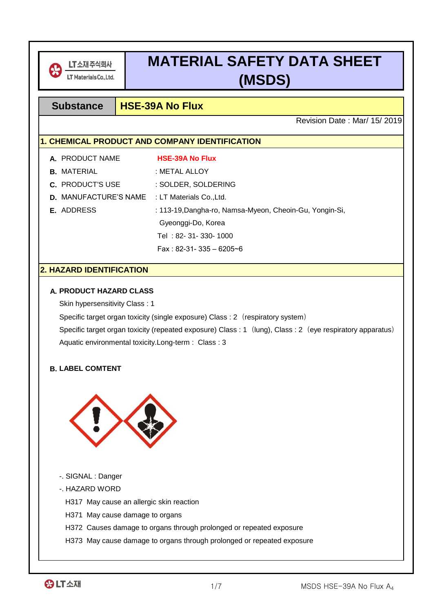

# **MATERIAL SAFETY DATA SHEET (MSDS)**

# **Substance HSE-39A No Flux**

Revision Date : Mar/ 15/ 2019

# **1. CHEMICAL PRODUCT AND COMPANY IDENTIFICATION**

| A. PRODUCT NAME                                       | <b>HSE-39A No Flux</b>                                  |
|-------------------------------------------------------|---------------------------------------------------------|
| <b>B.</b> MATERIAL                                    | : METAL ALLOY                                           |
| <b>C.</b> PRODUCT'S USE                               | : SOLDER, SOLDERING                                     |
| <b>D.</b> MANUFACTURE'S NAME : LT Materials Co., Ltd. |                                                         |
| E. ADDRESS                                            | : 113-19, Dangha-ro, Namsa-Myeon, Cheoin-Gu, Yongin-Si, |
|                                                       | Gyeonggi-Do, Korea                                      |
|                                                       | Tel: 82-31-330-1000                                     |
|                                                       | Fax: $82-31-335-6205-6$                                 |

# **2. HAZARD IDENTIFICATION**

#### **A. PRODUCT HAZARD CLASS**

Skin hypersensitivity Class : 1

Specific target organ toxicity (single exposure) Class : 2 (respiratory system)

Aquatic environmental toxicity.Long-term : Class : 3 Specific target organ toxicity (repeated exposure) Class : 1 (lung), Class : 2 (eye respiratory apparatus)

#### **B. LABEL COMTENT**



- -. SIGNAL : Danger
- -. HAZARD WORD

H317 May cause an allergic skin reaction

- H371 May cause damage to organs
- H372 Causes damage to organs through prolonged or repeated exposure
- H373 May cause damage to organs through prolonged or repeated exposure

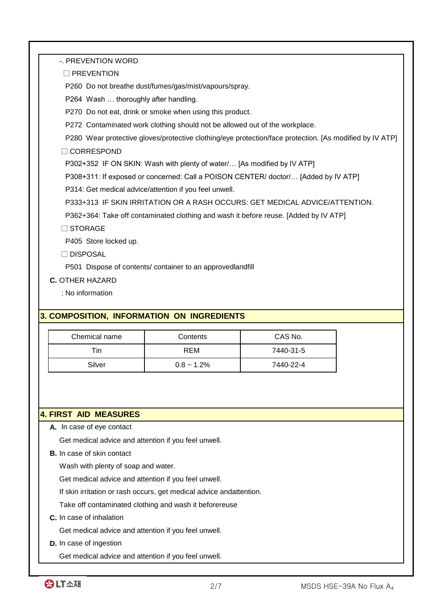-. PREVENTION WORD

□ PREVENTION

P260 Do not breathe dust/fumes/gas/mist/vapours/spray.

P264 Wash … thoroughly after handling.

P270 Do not eat, drink or smoke when using this product.

P272 Contaminated work clothing should not be allowed out of the workplace.

P280 Wear protective gloves/protective clothing/eye protection/face protection. [As modified by IV ATP]

□ CORRESPOND

P302+352 IF ON SKIN: Wash with plenty of water/… [As modified by IV ATP]

P308+311: If exposed or concerned: Call a POISON CENTER/ doctor/… [Added by IV ATP]

P314: Get medical advice/attention if you feel unwell.

P333+313 IF SKIN IRRITATION OR A RASH OCCURS: GET MEDICAL ADVICE/ATTENTION.

P362+364: Take off contaminated clothing and wash it before reuse. [Added by IV ATP]

□ STORAGE

P405 Store locked up.

□ DISPOSAL

P501 Dispose of contents/ container to an approvedlandfill

**C.** OTHER HAZARD

: No information

# **3. COMPOSITION, INFORMATION ON INGREDIENTS**

| Chemical name | Contents      | CAS No.   |
|---------------|---------------|-----------|
| ⊤in∶          | <b>REM</b>    | 7440-31-5 |
| Silver        | $0.8 - 1.2\%$ | 7440-22-4 |

#### **4. FIRST AID MEASURES**

**A.** In case of eye contact

Get medical advice and attention if you feel unwell.

**B.** In case of skin contact

Wash with plenty of soap and water.

Get medical advice and attention if you feel unwell.

If skin irritation or rash occurs, get medical advice andattention.

Take off contaminated clothing and wash it beforereuse

**C.** In case of inhalation

Get medical advice and attention if you feel unwell.

**D.** In case of ingestion

Get medical advice and attention if you feel unwell.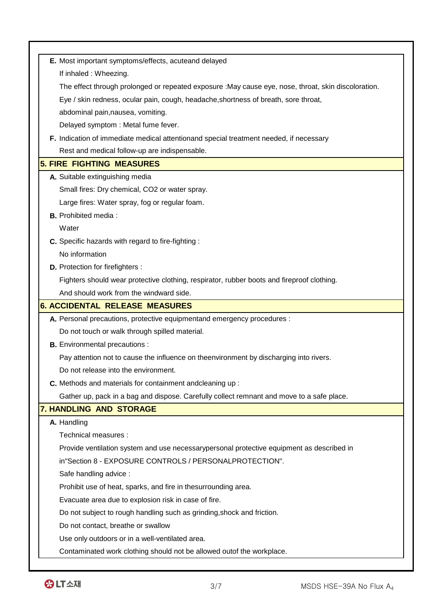| E. Most important symptoms/effects, acuteand delayed<br>If inhaled : Wheezing.<br>The effect through prolonged or repeated exposure : May cause eye, nose, throat, skin discoloration.<br>Eye / skin redness, ocular pain, cough, headache, shortness of breath, sore throat,<br>abdominal pain, nausea, vomiting.<br>Delayed symptom : Metal fume fever.<br>F. Indication of immediate medical attentionand special treatment needed, if necessary<br>Rest and medical follow-up are indispensable.<br><b>5. FIRE FIGHTING MEASURES</b><br>A. Suitable extinguishing media<br>Small fires: Dry chemical, CO2 or water spray.<br>Large fires: Water spray, fog or regular foam.<br><b>B.</b> Prohibited media:<br>Water<br>C. Specific hazards with regard to fire-fighting :<br>No information<br><b>D.</b> Protection for firefighters :<br>Fighters should wear protective clothing, respirator, rubber boots and fireproof clothing.<br>And should work from the windward side.<br><b>6. ACCIDENTAL RELEASE MEASURES</b><br>A. Personal precautions, protective equipmentand emergency procedures :<br>Do not touch or walk through spilled material.<br><b>B.</b> Environmental precautions :<br>Pay attention not to cause the influence on theenvironment by discharging into rivers.<br>Do not release into the environment.<br>C. Methods and materials for containment andcleaning up:<br>Gather up, pack in a bag and dispose. Carefully collect remnant and move to a safe place.<br>7. HANDLING AND STORAGE<br>A. Handling<br>Technical measures :<br>Provide ventilation system and use necessarypersonal protective equipment as described in<br>in"Section 8 - EXPOSURE CONTROLS / PERSONALPROTECTION".<br>Safe handling advice :<br>Prohibit use of heat, sparks, and fire in thesurrounding area.<br>Evacuate area due to explosion risk in case of fire.<br>Do not subject to rough handling such as grinding, shock and friction.<br>Do not contact, breathe or swallow<br>Use only outdoors or in a well-ventilated area. |                                                                       |
|------------------------------------------------------------------------------------------------------------------------------------------------------------------------------------------------------------------------------------------------------------------------------------------------------------------------------------------------------------------------------------------------------------------------------------------------------------------------------------------------------------------------------------------------------------------------------------------------------------------------------------------------------------------------------------------------------------------------------------------------------------------------------------------------------------------------------------------------------------------------------------------------------------------------------------------------------------------------------------------------------------------------------------------------------------------------------------------------------------------------------------------------------------------------------------------------------------------------------------------------------------------------------------------------------------------------------------------------------------------------------------------------------------------------------------------------------------------------------------------------------------------------------------------------------------------------------------------------------------------------------------------------------------------------------------------------------------------------------------------------------------------------------------------------------------------------------------------------------------------------------------------------------------------------------------------------------------------------------------------------------------------------------------------------|-----------------------------------------------------------------------|
|                                                                                                                                                                                                                                                                                                                                                                                                                                                                                                                                                                                                                                                                                                                                                                                                                                                                                                                                                                                                                                                                                                                                                                                                                                                                                                                                                                                                                                                                                                                                                                                                                                                                                                                                                                                                                                                                                                                                                                                                                                                |                                                                       |
|                                                                                                                                                                                                                                                                                                                                                                                                                                                                                                                                                                                                                                                                                                                                                                                                                                                                                                                                                                                                                                                                                                                                                                                                                                                                                                                                                                                                                                                                                                                                                                                                                                                                                                                                                                                                                                                                                                                                                                                                                                                |                                                                       |
|                                                                                                                                                                                                                                                                                                                                                                                                                                                                                                                                                                                                                                                                                                                                                                                                                                                                                                                                                                                                                                                                                                                                                                                                                                                                                                                                                                                                                                                                                                                                                                                                                                                                                                                                                                                                                                                                                                                                                                                                                                                |                                                                       |
|                                                                                                                                                                                                                                                                                                                                                                                                                                                                                                                                                                                                                                                                                                                                                                                                                                                                                                                                                                                                                                                                                                                                                                                                                                                                                                                                                                                                                                                                                                                                                                                                                                                                                                                                                                                                                                                                                                                                                                                                                                                |                                                                       |
|                                                                                                                                                                                                                                                                                                                                                                                                                                                                                                                                                                                                                                                                                                                                                                                                                                                                                                                                                                                                                                                                                                                                                                                                                                                                                                                                                                                                                                                                                                                                                                                                                                                                                                                                                                                                                                                                                                                                                                                                                                                |                                                                       |
|                                                                                                                                                                                                                                                                                                                                                                                                                                                                                                                                                                                                                                                                                                                                                                                                                                                                                                                                                                                                                                                                                                                                                                                                                                                                                                                                                                                                                                                                                                                                                                                                                                                                                                                                                                                                                                                                                                                                                                                                                                                |                                                                       |
|                                                                                                                                                                                                                                                                                                                                                                                                                                                                                                                                                                                                                                                                                                                                                                                                                                                                                                                                                                                                                                                                                                                                                                                                                                                                                                                                                                                                                                                                                                                                                                                                                                                                                                                                                                                                                                                                                                                                                                                                                                                |                                                                       |
|                                                                                                                                                                                                                                                                                                                                                                                                                                                                                                                                                                                                                                                                                                                                                                                                                                                                                                                                                                                                                                                                                                                                                                                                                                                                                                                                                                                                                                                                                                                                                                                                                                                                                                                                                                                                                                                                                                                                                                                                                                                |                                                                       |
|                                                                                                                                                                                                                                                                                                                                                                                                                                                                                                                                                                                                                                                                                                                                                                                                                                                                                                                                                                                                                                                                                                                                                                                                                                                                                                                                                                                                                                                                                                                                                                                                                                                                                                                                                                                                                                                                                                                                                                                                                                                |                                                                       |
|                                                                                                                                                                                                                                                                                                                                                                                                                                                                                                                                                                                                                                                                                                                                                                                                                                                                                                                                                                                                                                                                                                                                                                                                                                                                                                                                                                                                                                                                                                                                                                                                                                                                                                                                                                                                                                                                                                                                                                                                                                                |                                                                       |
|                                                                                                                                                                                                                                                                                                                                                                                                                                                                                                                                                                                                                                                                                                                                                                                                                                                                                                                                                                                                                                                                                                                                                                                                                                                                                                                                                                                                                                                                                                                                                                                                                                                                                                                                                                                                                                                                                                                                                                                                                                                |                                                                       |
|                                                                                                                                                                                                                                                                                                                                                                                                                                                                                                                                                                                                                                                                                                                                                                                                                                                                                                                                                                                                                                                                                                                                                                                                                                                                                                                                                                                                                                                                                                                                                                                                                                                                                                                                                                                                                                                                                                                                                                                                                                                |                                                                       |
|                                                                                                                                                                                                                                                                                                                                                                                                                                                                                                                                                                                                                                                                                                                                                                                                                                                                                                                                                                                                                                                                                                                                                                                                                                                                                                                                                                                                                                                                                                                                                                                                                                                                                                                                                                                                                                                                                                                                                                                                                                                |                                                                       |
|                                                                                                                                                                                                                                                                                                                                                                                                                                                                                                                                                                                                                                                                                                                                                                                                                                                                                                                                                                                                                                                                                                                                                                                                                                                                                                                                                                                                                                                                                                                                                                                                                                                                                                                                                                                                                                                                                                                                                                                                                                                |                                                                       |
|                                                                                                                                                                                                                                                                                                                                                                                                                                                                                                                                                                                                                                                                                                                                                                                                                                                                                                                                                                                                                                                                                                                                                                                                                                                                                                                                                                                                                                                                                                                                                                                                                                                                                                                                                                                                                                                                                                                                                                                                                                                |                                                                       |
|                                                                                                                                                                                                                                                                                                                                                                                                                                                                                                                                                                                                                                                                                                                                                                                                                                                                                                                                                                                                                                                                                                                                                                                                                                                                                                                                                                                                                                                                                                                                                                                                                                                                                                                                                                                                                                                                                                                                                                                                                                                |                                                                       |
|                                                                                                                                                                                                                                                                                                                                                                                                                                                                                                                                                                                                                                                                                                                                                                                                                                                                                                                                                                                                                                                                                                                                                                                                                                                                                                                                                                                                                                                                                                                                                                                                                                                                                                                                                                                                                                                                                                                                                                                                                                                |                                                                       |
|                                                                                                                                                                                                                                                                                                                                                                                                                                                                                                                                                                                                                                                                                                                                                                                                                                                                                                                                                                                                                                                                                                                                                                                                                                                                                                                                                                                                                                                                                                                                                                                                                                                                                                                                                                                                                                                                                                                                                                                                                                                |                                                                       |
|                                                                                                                                                                                                                                                                                                                                                                                                                                                                                                                                                                                                                                                                                                                                                                                                                                                                                                                                                                                                                                                                                                                                                                                                                                                                                                                                                                                                                                                                                                                                                                                                                                                                                                                                                                                                                                                                                                                                                                                                                                                |                                                                       |
|                                                                                                                                                                                                                                                                                                                                                                                                                                                                                                                                                                                                                                                                                                                                                                                                                                                                                                                                                                                                                                                                                                                                                                                                                                                                                                                                                                                                                                                                                                                                                                                                                                                                                                                                                                                                                                                                                                                                                                                                                                                |                                                                       |
|                                                                                                                                                                                                                                                                                                                                                                                                                                                                                                                                                                                                                                                                                                                                                                                                                                                                                                                                                                                                                                                                                                                                                                                                                                                                                                                                                                                                                                                                                                                                                                                                                                                                                                                                                                                                                                                                                                                                                                                                                                                |                                                                       |
|                                                                                                                                                                                                                                                                                                                                                                                                                                                                                                                                                                                                                                                                                                                                                                                                                                                                                                                                                                                                                                                                                                                                                                                                                                                                                                                                                                                                                                                                                                                                                                                                                                                                                                                                                                                                                                                                                                                                                                                                                                                |                                                                       |
|                                                                                                                                                                                                                                                                                                                                                                                                                                                                                                                                                                                                                                                                                                                                                                                                                                                                                                                                                                                                                                                                                                                                                                                                                                                                                                                                                                                                                                                                                                                                                                                                                                                                                                                                                                                                                                                                                                                                                                                                                                                |                                                                       |
|                                                                                                                                                                                                                                                                                                                                                                                                                                                                                                                                                                                                                                                                                                                                                                                                                                                                                                                                                                                                                                                                                                                                                                                                                                                                                                                                                                                                                                                                                                                                                                                                                                                                                                                                                                                                                                                                                                                                                                                                                                                |                                                                       |
|                                                                                                                                                                                                                                                                                                                                                                                                                                                                                                                                                                                                                                                                                                                                                                                                                                                                                                                                                                                                                                                                                                                                                                                                                                                                                                                                                                                                                                                                                                                                                                                                                                                                                                                                                                                                                                                                                                                                                                                                                                                |                                                                       |
|                                                                                                                                                                                                                                                                                                                                                                                                                                                                                                                                                                                                                                                                                                                                                                                                                                                                                                                                                                                                                                                                                                                                                                                                                                                                                                                                                                                                                                                                                                                                                                                                                                                                                                                                                                                                                                                                                                                                                                                                                                                |                                                                       |
|                                                                                                                                                                                                                                                                                                                                                                                                                                                                                                                                                                                                                                                                                                                                                                                                                                                                                                                                                                                                                                                                                                                                                                                                                                                                                                                                                                                                                                                                                                                                                                                                                                                                                                                                                                                                                                                                                                                                                                                                                                                |                                                                       |
|                                                                                                                                                                                                                                                                                                                                                                                                                                                                                                                                                                                                                                                                                                                                                                                                                                                                                                                                                                                                                                                                                                                                                                                                                                                                                                                                                                                                                                                                                                                                                                                                                                                                                                                                                                                                                                                                                                                                                                                                                                                |                                                                       |
|                                                                                                                                                                                                                                                                                                                                                                                                                                                                                                                                                                                                                                                                                                                                                                                                                                                                                                                                                                                                                                                                                                                                                                                                                                                                                                                                                                                                                                                                                                                                                                                                                                                                                                                                                                                                                                                                                                                                                                                                                                                |                                                                       |
|                                                                                                                                                                                                                                                                                                                                                                                                                                                                                                                                                                                                                                                                                                                                                                                                                                                                                                                                                                                                                                                                                                                                                                                                                                                                                                                                                                                                                                                                                                                                                                                                                                                                                                                                                                                                                                                                                                                                                                                                                                                |                                                                       |
|                                                                                                                                                                                                                                                                                                                                                                                                                                                                                                                                                                                                                                                                                                                                                                                                                                                                                                                                                                                                                                                                                                                                                                                                                                                                                                                                                                                                                                                                                                                                                                                                                                                                                                                                                                                                                                                                                                                                                                                                                                                |                                                                       |
|                                                                                                                                                                                                                                                                                                                                                                                                                                                                                                                                                                                                                                                                                                                                                                                                                                                                                                                                                                                                                                                                                                                                                                                                                                                                                                                                                                                                                                                                                                                                                                                                                                                                                                                                                                                                                                                                                                                                                                                                                                                |                                                                       |
|                                                                                                                                                                                                                                                                                                                                                                                                                                                                                                                                                                                                                                                                                                                                                                                                                                                                                                                                                                                                                                                                                                                                                                                                                                                                                                                                                                                                                                                                                                                                                                                                                                                                                                                                                                                                                                                                                                                                                                                                                                                |                                                                       |
|                                                                                                                                                                                                                                                                                                                                                                                                                                                                                                                                                                                                                                                                                                                                                                                                                                                                                                                                                                                                                                                                                                                                                                                                                                                                                                                                                                                                                                                                                                                                                                                                                                                                                                                                                                                                                                                                                                                                                                                                                                                |                                                                       |
|                                                                                                                                                                                                                                                                                                                                                                                                                                                                                                                                                                                                                                                                                                                                                                                                                                                                                                                                                                                                                                                                                                                                                                                                                                                                                                                                                                                                                                                                                                                                                                                                                                                                                                                                                                                                                                                                                                                                                                                                                                                |                                                                       |
|                                                                                                                                                                                                                                                                                                                                                                                                                                                                                                                                                                                                                                                                                                                                                                                                                                                                                                                                                                                                                                                                                                                                                                                                                                                                                                                                                                                                                                                                                                                                                                                                                                                                                                                                                                                                                                                                                                                                                                                                                                                |                                                                       |
|                                                                                                                                                                                                                                                                                                                                                                                                                                                                                                                                                                                                                                                                                                                                                                                                                                                                                                                                                                                                                                                                                                                                                                                                                                                                                                                                                                                                                                                                                                                                                                                                                                                                                                                                                                                                                                                                                                                                                                                                                                                |                                                                       |
|                                                                                                                                                                                                                                                                                                                                                                                                                                                                                                                                                                                                                                                                                                                                                                                                                                                                                                                                                                                                                                                                                                                                                                                                                                                                                                                                                                                                                                                                                                                                                                                                                                                                                                                                                                                                                                                                                                                                                                                                                                                |                                                                       |
|                                                                                                                                                                                                                                                                                                                                                                                                                                                                                                                                                                                                                                                                                                                                                                                                                                                                                                                                                                                                                                                                                                                                                                                                                                                                                                                                                                                                                                                                                                                                                                                                                                                                                                                                                                                                                                                                                                                                                                                                                                                | Contaminated work clothing should not be allowed outof the workplace. |

Ī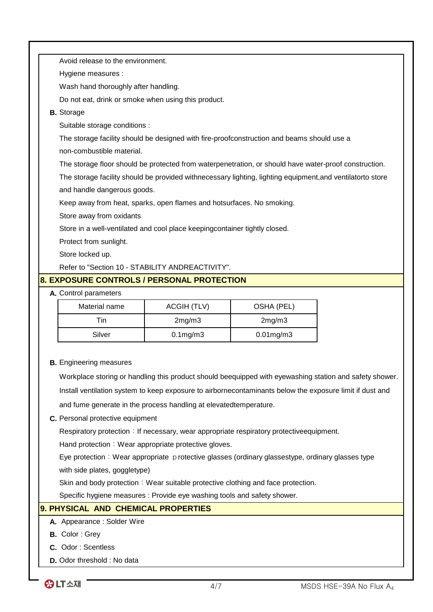|                                                                                                       | Avoid release to the environment.                                                                          |                    |                 |  |  |
|-------------------------------------------------------------------------------------------------------|------------------------------------------------------------------------------------------------------------|--------------------|-----------------|--|--|
|                                                                                                       | Hygiene measures :                                                                                         |                    |                 |  |  |
|                                                                                                       | Wash hand thoroughly after handling.                                                                       |                    |                 |  |  |
|                                                                                                       | Do not eat, drink or smoke when using this product.                                                        |                    |                 |  |  |
| <b>B.</b> Storage                                                                                     |                                                                                                            |                    |                 |  |  |
| Suitable storage conditions :                                                                         |                                                                                                            |                    |                 |  |  |
|                                                                                                       | The storage facility should be designed with fire-proofconstruction and beams should use a                 |                    |                 |  |  |
| non-combustible material.                                                                             |                                                                                                            |                    |                 |  |  |
| The storage floor should be protected from waterpenetration, or should have water-proof construction. |                                                                                                            |                    |                 |  |  |
|                                                                                                       | The storage facility should be provided withnecessary lighting, lighting equipment, and ventilatorto store |                    |                 |  |  |
|                                                                                                       | and handle dangerous goods.                                                                                |                    |                 |  |  |
|                                                                                                       | Keep away from heat, sparks, open flames and hotsurfaces. No smoking.                                      |                    |                 |  |  |
|                                                                                                       | Store away from oxidants                                                                                   |                    |                 |  |  |
|                                                                                                       | Store in a well-ventilated and cool place keepingcontainer tightly closed.                                 |                    |                 |  |  |
| Protect from sunlight.                                                                                |                                                                                                            |                    |                 |  |  |
| Store locked up.                                                                                      |                                                                                                            |                    |                 |  |  |
|                                                                                                       | Refer to "Section 10 - STABILITY ANDREACTIVITY".                                                           |                    |                 |  |  |
|                                                                                                       | <b>8. EXPOSURE CONTROLS / PERSONAL PROTECTION</b>                                                          |                    |                 |  |  |
|                                                                                                       | A. Control parameters                                                                                      |                    |                 |  |  |
|                                                                                                       | Material name                                                                                              | <b>ACGIH (TLV)</b> | OSHA (PEL)      |  |  |
|                                                                                                       | Tin                                                                                                        | 2mg/m3             | 2mg/m3          |  |  |
|                                                                                                       | Silver                                                                                                     | $0.1$ mg/m $3$     | $0.01$ mg/m $3$ |  |  |

**B.** Engineering measures

Workplace storing or handling this product should beequipped with eyewashing station and safety shower. Install ventilation system to keep exposure to airbornecontaminants below the exposure limit if dust and and fume generate in the process handling at elevatedtemperature.

#### **C.** Personal protective equipment

Respiratory protection: If necessary, wear appropriate respiratory protectiveequipment.

Hand protection: Wear appropriate protective gloves.

with side plates, goggletype) Eye protection: Wear appropriate protective glasses (ordinary glassestype, ordinary glasses type

Skin and body protection: Wear suitable protective clothing and face protection.

Specific hygiene measures : Provide eye washing tools and safety shower.

# **9. PHYSICAL AND CHEMICAL PROPERTIES**

#### **A.** Appearance : Solder Wire

- **B.** Color : Grey
- **C.** Odor : Scentless
- **D.** Odor threshold : No data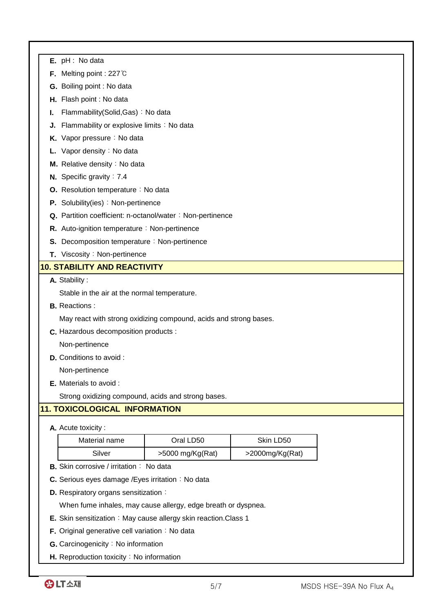|    | $E.$ pH : No data                                                 |                                                           |                 |  |
|----|-------------------------------------------------------------------|-----------------------------------------------------------|-----------------|--|
|    | <b>F.</b> Melting point : 227 $\degree$ C                         |                                                           |                 |  |
|    | G. Boiling point : No data                                        |                                                           |                 |  |
|    | H. Flash point : No data                                          |                                                           |                 |  |
| ı. | Flammability(Solid, Gas): No data                                 |                                                           |                 |  |
| J. | Flammability or explosive limits : No data                        |                                                           |                 |  |
|    | K. Vapor pressure : No data                                       |                                                           |                 |  |
|    | Vapor density : No data                                           |                                                           |                 |  |
|    | M. Relative density: No data                                      |                                                           |                 |  |
|    | <b>N.</b> Specific gravity : $7.4$                                |                                                           |                 |  |
|    | O. Resolution temperature : No data                               |                                                           |                 |  |
|    | P. Solubility(ies): Non-pertinence                                |                                                           |                 |  |
|    |                                                                   | Q. Partition coefficient: n-octanol/water: Non-pertinence |                 |  |
|    | R. Auto-ignition temperature : Non-pertinence                     |                                                           |                 |  |
|    | <b>S.</b> Decomposition temperature: Non-pertinence               |                                                           |                 |  |
|    | T. Viscosity: Non-pertinence                                      |                                                           |                 |  |
|    | <b>10. STABILITY AND REACTIVITY</b>                               |                                                           |                 |  |
|    | A. Stability:                                                     |                                                           |                 |  |
|    | Stable in the air at the normal temperature.                      |                                                           |                 |  |
|    | <b>B.</b> Reactions:                                              |                                                           |                 |  |
|    | May react with strong oxidizing compound, acids and strong bases. |                                                           |                 |  |
|    | C. Hazardous decomposition products :                             |                                                           |                 |  |
|    | Non-pertinence                                                    |                                                           |                 |  |
|    | <b>D.</b> Conditions to avoid :                                   |                                                           |                 |  |
|    | Non-pertinence                                                    |                                                           |                 |  |
|    | E. Materials to avoid :                                           |                                                           |                 |  |
|    | Strong oxidizing compound, acids and strong bases.                |                                                           |                 |  |
|    | <b>11. TOXICOLOGICAL INFORMATION</b>                              |                                                           |                 |  |
|    | A. Acute toxicity:                                                |                                                           |                 |  |
|    | Material name                                                     | Oral LD50                                                 | Skin LD50       |  |
|    | Silver                                                            | >5000 mg/Kg(Rat)                                          | >2000mg/Kg(Rat) |  |
|    | <b>B.</b> Skin corrosive / irritation : No data                   |                                                           |                 |  |
|    | C. Serious eyes damage / Eyes irritation: No data                 |                                                           |                 |  |

**D.** Respiratory organs sensitization:

When fume inhales, may cause allergy, edge breath or dyspnea.

- **E.** Skin sensitization: May cause allergy skin reaction.Class 1
- **F.** Original generative cell variation: No data
- **G.** Carcinogenicity: No information
- **H.** Reproduction toxicity: No information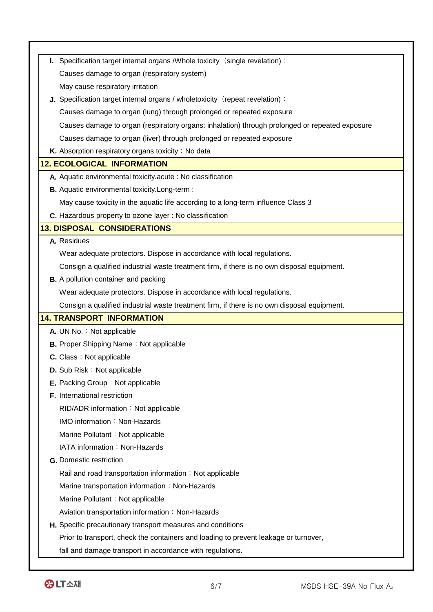| I. Specification target internal organs / Whole toxicity (single revelation):                  |  |
|------------------------------------------------------------------------------------------------|--|
| Causes damage to organ (respiratory system)                                                    |  |
| May cause respiratory irritation                                                               |  |
| J. Specification target internal organs / wholetoxicity (repeat revelation):                   |  |
| Causes damage to organ (lung) through prolonged or repeated exposure                           |  |
| Causes damage to organ (respiratory organs: inhalation) through prolonged or repeated exposure |  |
| Causes damage to organ (liver) through prolonged or repeated exposure                          |  |
| K. Absorption respiratory organs toxicity : No data                                            |  |
| <b>12. ECOLOGICAL INFORMATION</b>                                                              |  |
| A. Aquatic environmental toxicity acute : No classification                                    |  |
| <b>B.</b> Aquatic environmental toxicity. Long-term :                                          |  |
| May cause toxicity in the aquatic life according to a long-term influence Class 3              |  |
| C. Hazardous property to ozone layer : No classification                                       |  |
| <b>13. DISPOSAL CONSIDERATIONS</b>                                                             |  |
| A. Residues                                                                                    |  |
| Wear adequate protectors. Dispose in accordance with local regulations.                        |  |
| Consign a qualified industrial waste treatment firm, if there is no own disposal equipment.    |  |
| <b>B.</b> A pollution container and packing                                                    |  |
| Wear adequate protectors. Dispose in accordance with local regulations.                        |  |
| Consign a qualified industrial waste treatment firm, if there is no own disposal equipment.    |  |
| <b>14. TRANSPORT INFORMATION</b>                                                               |  |
| A. UN No.: Not applicable                                                                      |  |
| <b>B.</b> Proper Shipping Name: Not applicable                                                 |  |
| <b>C.</b> Class: Not applicable                                                                |  |
| D. Sub Risk: Not applicable                                                                    |  |
| E. Packing Group: Not applicable                                                               |  |
| F. International restriction                                                                   |  |
| RID/ADR information: Not applicable                                                            |  |
| IMO information: Non-Hazards                                                                   |  |
| Marine Pollutant: Not applicable                                                               |  |
| IATA information: Non-Hazards                                                                  |  |
| <b>G.</b> Domestic restriction                                                                 |  |
| Rail and road transportation information: Not applicable                                       |  |
| Marine transportation information: Non-Hazards                                                 |  |
| Marine Pollutant: Not applicable                                                               |  |
| Aviation transportation information: Non-Hazards                                               |  |
| H. Specific precautionary transport measures and conditions                                    |  |
| Prior to transport, check the containers and loading to prevent leakage or turnover,           |  |
| fall and damage transport in accordance with regulations.                                      |  |
|                                                                                                |  |